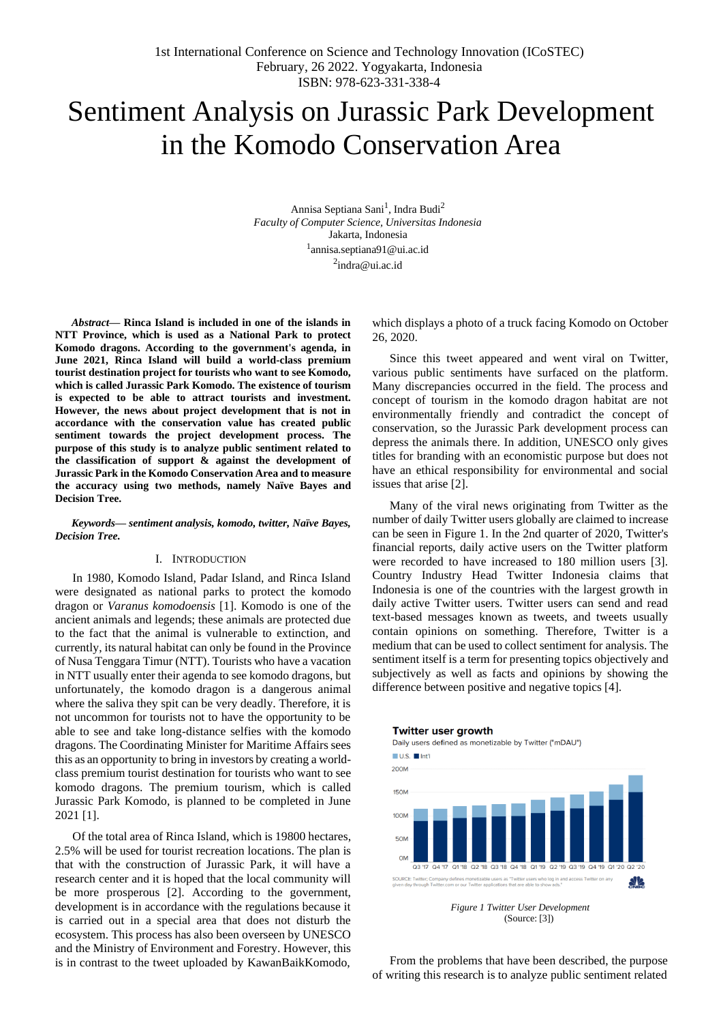# Sentiment Analysis on Jurassic Park Development in the Komodo Conservation Area

Annisa Septiana Sani<sup>1</sup>, Indra Budi<sup>2</sup> *Faculty of Computer Science, Universitas Indonesia* Jakarta, Indonesia [1](mailto:1annisa.septiana91@ui.ac.id) [annisa.septiana91@ui.ac.id](mailto:1annisa.septiana91@ui.ac.id) <sup>[2](mailto:2indra@ui.ac.id)</sup>[indra@ui.ac.id](mailto:2indra@ui.ac.id)

*Abstract***— Rinca Island is included in one of the islands in NTT Province, which is used as a National Park to protect Komodo dragons. According to the government's agenda, in June 2021, Rinca Island will build a world-class premium tourist destination project for tourists who want to see Komodo, which is called Jurassic Park Komodo. The existence of tourism is expected to be able to attract tourists and investment. However, the news about project development that is not in accordance with the conservation value has created public sentiment towards the project development process. The purpose of this study is to analyze public sentiment related to the classification of support & against the development of Jurassic Park in the Komodo Conservation Area and to measure the accuracy using two methods, namely Naïve Bayes and Decision Tree.**

*Keywords— sentiment analysis, komodo, twitter, Naïve Bayes, Decision Tree.*

# I. INTRODUCTION

In 1980, Komodo Island, Padar Island, and Rinca Island were designated as national parks to protect the komodo dragon or *Varanus komodoensis* [1]. Komodo is one of the ancient animals and legends; these animals are protected due to the fact that the animal is vulnerable to extinction, and currently, its natural habitat can only be found in the Province of Nusa Tenggara Timur (NTT). Tourists who have a vacation in NTT usually enter their agenda to see komodo dragons, but unfortunately, the komodo dragon is a dangerous animal where the saliva they spit can be very deadly. Therefore, it is not uncommon for tourists not to have the opportunity to be able to see and take long-distance selfies with the komodo dragons. The Coordinating Minister for Maritime Affairs sees this as an opportunity to bring in investors by creating a worldclass premium tourist destination for tourists who want to see komodo dragons. The premium tourism, which is called Jurassic Park Komodo, is planned to be completed in June 2021 [1].

Of the total area of Rinca Island, which is 19800 hectares, 2.5% will be used for tourist recreation locations. The plan is that with the construction of Jurassic Park, it will have a research center and it is hoped that the local community will be more prosperous [2]. According to the government, development is in accordance with the regulations because it is carried out in a special area that does not disturb the ecosystem. This process has also been overseen by UNESCO and the Ministry of Environment and Forestry. However, this is in contrast to the tweet uploaded by KawanBaikKomodo, which displays a photo of a truck facing Komodo on October 26, 2020.

Since this tweet appeared and went viral on Twitter, various public sentiments have surfaced on the platform. Many discrepancies occurred in the field. The process and concept of tourism in the komodo dragon habitat are not environmentally friendly and contradict the concept of conservation, so the Jurassic Park development process can depress the animals there. In addition, UNESCO only gives titles for branding with an economistic purpose but does not have an ethical responsibility for environmental and social issues that arise [2].

Many of the viral news originating from Twitter as the number of daily Twitter users globally are claimed to increase can be seen in [Figure 1. I](#page-0-0)n the 2nd quarter of 2020, Twitter's financial reports, daily active users on the Twitter platform were recorded to have increased to 180 million users [3]. Country Industry Head Twitter Indonesia claims that Indonesia is one of the countries with the largest growth in daily active Twitter users. Twitter users can send and read text-based messages known as tweets, and tweets usually contain opinions on something. Therefore, Twitter is a medium that can be used to collect sentiment for analysis. The sentiment itself is a term for presenting topics objectively and subjectively as well as facts and opinions by showing the difference between positive and negative topics [4].



Daily users defined as monetizable by Twitter ("mDAU")



*Figure 1 Twitter User Development* (Source: [3])

<span id="page-0-0"></span>From the problems that have been described, the purpose of writing this research is to analyze public sentiment related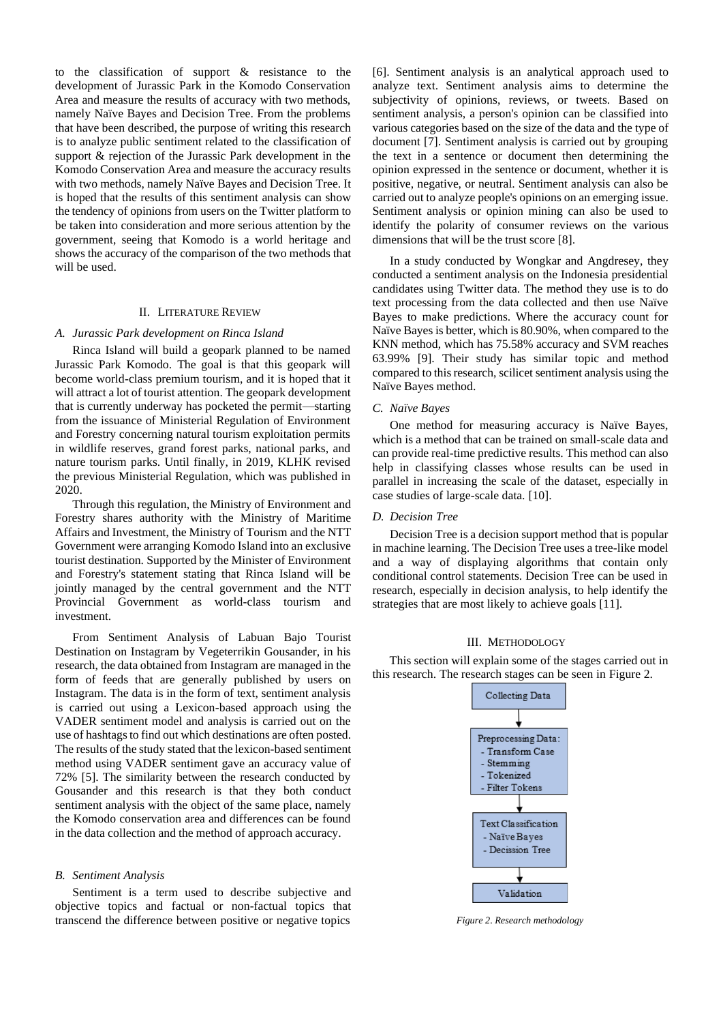to the classification of support & resistance to the development of Jurassic Park in the Komodo Conservation Area and measure the results of accuracy with two methods, namely Naïve Bayes and Decision Tree. From the problems that have been described, the purpose of writing this research is to analyze public sentiment related to the classification of support & rejection of the Jurassic Park development in the Komodo Conservation Area and measure the accuracy results with two methods, namely Naïve Bayes and Decision Tree. It is hoped that the results of this sentiment analysis can show the tendency of opinions from users on the Twitter platform to be taken into consideration and more serious attention by the government, seeing that Komodo is a world heritage and shows the accuracy of the comparison of the two methods that will be used.

### II. LITERATURE REVIEW

#### *A. Jurassic Park development on Rinca Island*

Rinca Island will build a geopark planned to be named Jurassic Park Komodo. The goal is that this geopark will become world-class premium tourism, and it is hoped that it will attract a lot of tourist attention. The geopark development that is currently underway has pocketed the permit—starting from the issuance of Ministerial Regulation of Environment and Forestry concerning natural tourism exploitation permits in wildlife reserves, grand forest parks, national parks, and nature tourism parks. Until finally, in 2019, KLHK revised the previous Ministerial Regulation, which was published in 2020.

Through this regulation, the Ministry of Environment and Forestry shares authority with the Ministry of Maritime Affairs and Investment, the Ministry of Tourism and the NTT Government were arranging Komodo Island into an exclusive tourist destination. Supported by the Minister of Environment and Forestry's statement stating that Rinca Island will be jointly managed by the central government and the NTT Provincial Government as world-class tourism and investment.

From Sentiment Analysis of Labuan Bajo Tourist Destination on Instagram by Vegeterrikin Gousander, in his research, the data obtained from Instagram are managed in the form of feeds that are generally published by users on Instagram. The data is in the form of text, sentiment analysis is carried out using a Lexicon-based approach using the VADER sentiment model and analysis is carried out on the use of hashtags to find out which destinations are often posted. The results of the study stated that the lexicon-based sentiment method using VADER sentiment gave an accuracy value of 72% [5]. The similarity between the research conducted by Gousander and this research is that they both conduct sentiment analysis with the object of the same place, namely the Komodo conservation area and differences can be found in the data collection and the method of approach accuracy.

#### *B. Sentiment Analysis*

Sentiment is a term used to describe subjective and objective topics and factual or non-factual topics that transcend the difference between positive or negative topics

[6]. Sentiment analysis is an analytical approach used to analyze text. Sentiment analysis aims to determine the subjectivity of opinions, reviews, or tweets. Based on sentiment analysis, a person's opinion can be classified into various categories based on the size of the data and the type of document [7]. Sentiment analysis is carried out by grouping the text in a sentence or document then determining the opinion expressed in the sentence or document, whether it is positive, negative, or neutral. Sentiment analysis can also be carried out to analyze people's opinions on an emerging issue. Sentiment analysis or opinion mining can also be used to identify the polarity of consumer reviews on the various dimensions that will be the trust score [8].

In a study conducted by Wongkar and Angdresey, they conducted a sentiment analysis on the Indonesia presidential candidates using Twitter data. The method they use is to do text processing from the data collected and then use Naïve Bayes to make predictions. Where the accuracy count for Naïve Bayes is better, which is 80.90%, when compared to the KNN method, which has 75.58% accuracy and SVM reaches 63.99% [9]. Their study has similar topic and method compared to this research, scilicet sentiment analysis using the Naïve Bayes method.

### *C. Naïve Bayes*

One method for measuring accuracy is Naïve Bayes, which is a method that can be trained on small-scale data and can provide real-time predictive results. This method can also help in classifying classes whose results can be used in parallel in increasing the scale of the dataset, especially in case studies of large-scale data. [10].

#### *D. Decision Tree*

Decision Tree is a decision support method that is popular in machine learning. The Decision Tree uses a tree-like model and a way of displaying algorithms that contain only conditional control statements. Decision Tree can be used in research, especially in decision analysis, to help identify the strategies that are most likely to achieve goals [11].

#### III. METHODOLOGY

This section will explain some of the stages carried out in this research. The research stages can be seen in Figure 2.



*Figure 2. Research methodology*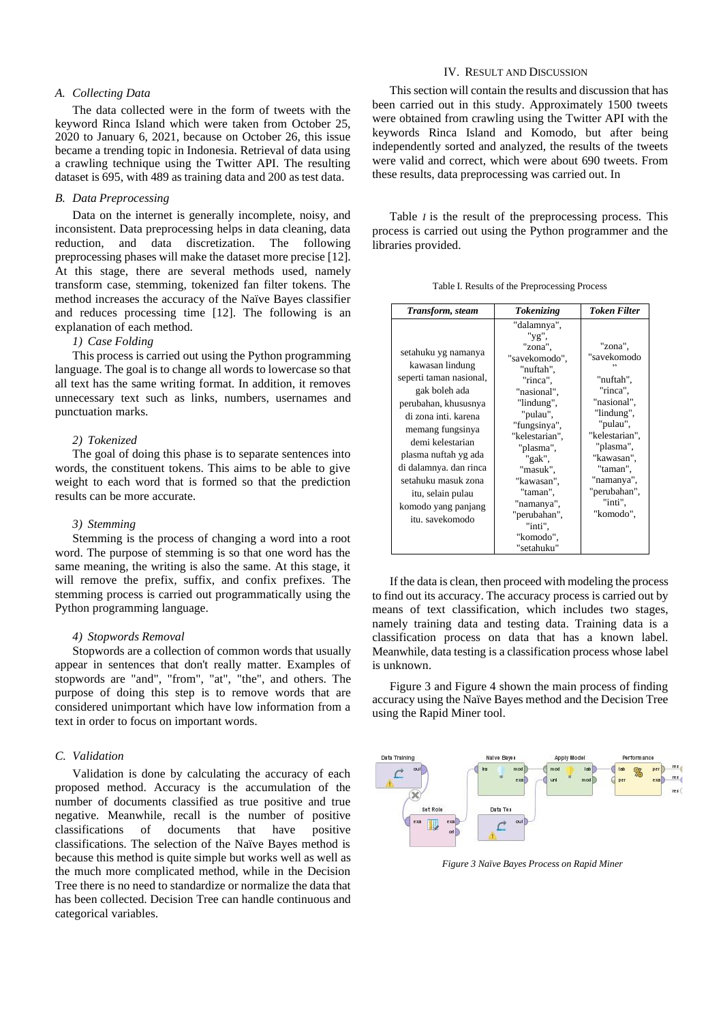# *A. Collecting Data*

The data collected were in the form of tweets with the keyword Rinca Island which were taken from October 25, 2020 to January 6, 2021, because on October 26, this issue became a trending topic in Indonesia. Retrieval of data using a crawling technique using the Twitter API. The resulting dataset is 695, with 489 as training data and 200 as test data.

# *B. Data Preprocessing*

Data on the internet is generally incomplete, noisy, and inconsistent. Data preprocessing helps in data cleaning, data reduction, and data discretization. The following preprocessing phases will make the dataset more precise [12]. At this stage, there are several methods used, namely transform case, stemming, tokenized fan filter tokens. The method increases the accuracy of the Naïve Bayes classifier and reduces processing time [12]. The following is an explanation of each method.

# *1) Case Folding*

This process is carried out using the Python programming language. The goal is to change all words to lowercase so that all text has the same writing format. In addition, it removes unnecessary text such as links, numbers, usernames and punctuation marks.

# *2) Tokenized*

The goal of doing this phase is to separate sentences into words, the constituent tokens. This aims to be able to give weight to each word that is formed so that the prediction results can be more accurate.

#### *3) Stemming*

Stemming is the process of changing a word into a root word. The purpose of stemming is so that one word has the same meaning, the writing is also the same. At this stage, it will remove the prefix, suffix, and confix prefixes. The stemming process is carried out programmatically using the Python programming language.

# *4) Stopwords Removal*

Stopwords are a collection of common words that usually appear in sentences that don't really matter. Examples of stopwords are "and", "from", "at", "the", and others. The purpose of doing this step is to remove words that are considered unimportant which have low information from a text in order to focus on important words.

#### *C. Validation*

Validation is done by calculating the accuracy of each proposed method. Accuracy is the accumulation of the number of documents classified as true positive and true negative. Meanwhile, recall is the number of positive classifications of documents that have positive classifications. The selection of the Naïve Bayes method is because this method is quite simple but works well as well as the much more complicated method, while in the Decision Tree there is no need to standardize or normalize the data that has been collected. Decision Tree can handle continuous and categorical variables.

# IV. RESULT AND DISCUSSION

This section will contain the results and discussion that has been carried out in this study. Approximately 1500 tweets were obtained from crawling using the Twitter API with the keywords Rinca Island and Komodo, but after being independently sorted and analyzed, the results of the tweets were valid and correct, which were about 690 tweets. From these results, data preprocessing was carried out. In

[Table](#page-2-0) *[I](#page-2-0)* is the result of the preprocessing process. This process is carried out using the Python programmer and the libraries provided.

<span id="page-2-0"></span>

| Transform, steam                                                                                                                                                                                                                                                                                                   | <b>Tokenizing</b>                                                                                                                                                                                                                                                                     | <b>Token Filter</b>                                                                                                                                                                                     |
|--------------------------------------------------------------------------------------------------------------------------------------------------------------------------------------------------------------------------------------------------------------------------------------------------------------------|---------------------------------------------------------------------------------------------------------------------------------------------------------------------------------------------------------------------------------------------------------------------------------------|---------------------------------------------------------------------------------------------------------------------------------------------------------------------------------------------------------|
| setahuku yg namanya<br>kawasan lindung<br>seperti taman nasional,<br>gak boleh ada<br>perubahan, khususnya<br>di zona inti, karena<br>memang fungsinya<br>demi kelestarian<br>plasma nuftah yg ada<br>di dalamnya. dan rinca<br>setahuku masuk zona<br>itu, selain pulau<br>komodo yang panjang<br>itu. savekomodo | "dalamnya",<br>"yg",<br>"zona".<br>"savekomodo",<br>"nuftah".<br>"rinca",<br>"nasional",<br>"lindung",<br>"pulau",<br>"fungsinya",<br>"kelestarian",<br>"plasma",<br>"gak",<br>"masuk",<br>"kawasan".<br>"taman",<br>"namanya",<br>"perubahan",<br>"inti",<br>"komodo",<br>"setahuku" | "zona",<br>"savekomodo<br>"nuftah".<br>"rinca",<br>"nasional",<br>"lindung",<br>"pulau",<br>"kelestarian",<br>"plasma",<br>"kawasan",<br>"taman",<br>"namanya",<br>"perubahan",<br>"inti",<br>"komodo", |

If the data is clean, then proceed with modeling the process to find out its accuracy. The accuracy process is carried out by means of text classification, which includes two stages, namely training data and testing data. Training data is a classification process on data that has a known label. Meanwhile, data testing is a classification process whose label is unknown.

[Figure 3 a](#page-2-1)n[d Figure 4 s](#page-3-0)hown the main process of finding accuracy using the Naïve Bayes method and the Decision Tree using the Rapid Miner tool.



<span id="page-2-1"></span>*Figure 3 Naïve Bayes Process on Rapid Miner*